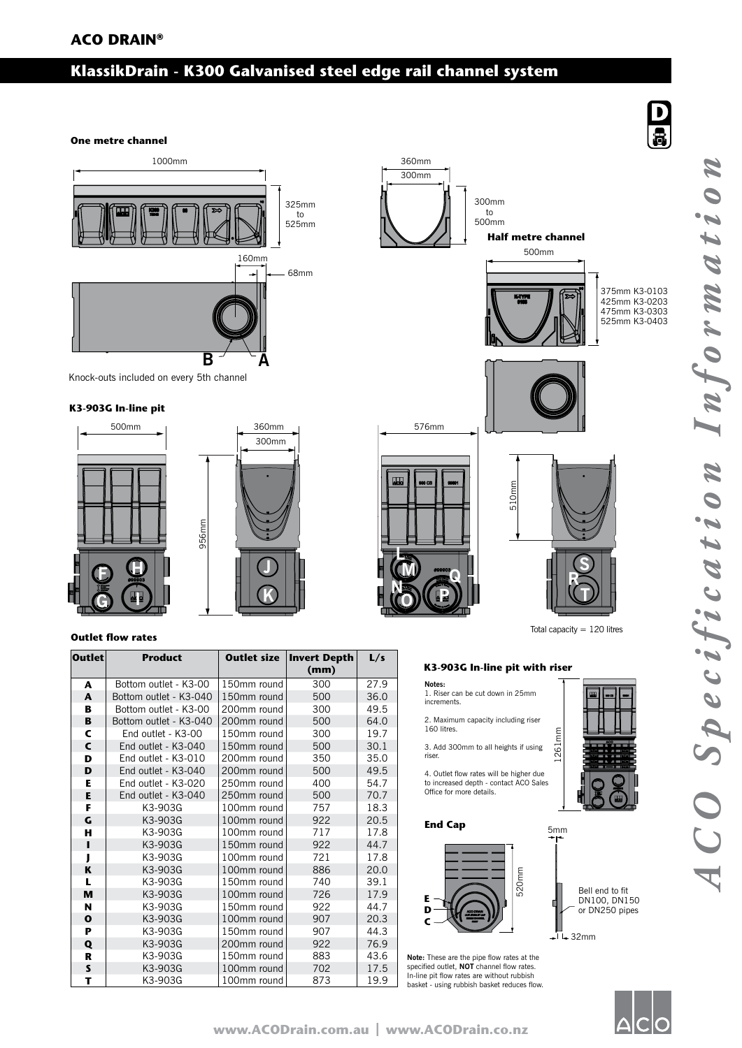# **KlassikDrain - K300 Galvanised steel edge rail channel system**

## **One metre channel**



Knock-outs included on every 5th channel

## **K3-903G In-line pit**





## **Outlet flow rates**

| <b>Outlet</b> | <b>Product</b>         | <b>Outlet size</b> | Invert Depth<br>(mm) | L/s  |
|---------------|------------------------|--------------------|----------------------|------|
| A             | Bottom outlet - K3-00  | 150mm round        | 300                  | 27.9 |
| A             | Bottom outlet - K3-040 | 150mm round        | 500                  | 36.0 |
| В             | Bottom outlet - K3-00  | 200mm round        | 300                  | 49.5 |
| B             | Bottom outlet - K3-040 | 200mm round        | 500                  | 64.0 |
| C             | End outlet - K3-00     | 150mm round        | 300                  | 19.7 |
| C             | End outlet - K3-040    | 150mm round        | 500                  | 30.1 |
| D             | End outlet - K3-010    | 200mm round        | 350                  | 35.0 |
| D             | End outlet - K3-040    | 200mm round        | 500                  | 49.5 |
| Е             | End outlet - K3-020    | 250mm round        | 400                  | 54.7 |
| E             | End outlet - K3-040    | 250mm round        | 500                  | 70.7 |
| F             | K3-903G                | 100mm round        | 757                  | 18.3 |
| G             | K3-903G                | 100mm round        | 922                  | 20.5 |
| н             | K3-903G                | 100mm round        | 717                  | 17.8 |
| п             | K3-903G                | 150mm round        | 922                  | 44.7 |
| J             | K3-903G                | 100mm round        | 721                  | 17.8 |
| K             | K3-903G                | 100mm round        | 886                  | 20.0 |
| L             | K3-903G                | 150mm round        | 740                  | 39.1 |
| M             | K3-903G                | 100mm round        | 726                  | 17.9 |
| N             | K3-903G                | 150mm round        | 922                  | 44.7 |
| $\mathbf{o}$  | K3-903G                | 100mm round        | 907                  | 20.3 |
| P             | K3-903G                | 150mm round        | 907                  | 44.3 |
| Q             | K3-903G                | 200mm round        | 922                  | 76.9 |
| R             | K3-903G                | 150mm round        | 883                  | 43.6 |
| S             | K3-903G                | 100mm round        | 702                  | 17.5 |
| т             | K3-903G                | 100mm round        | 873                  | 19.9 |



Total capacity = 120 litres

1261mm

5mm

## **K3-903G In-line pit with riser**

**Notes:** 1. Riser can be cut down in 25mm increments.

2. Maximum capacity including riser 160 litres.

3. Add 300mm to all heights if using riser.

4. Outlet flow rates will be higher due to increased depth - contact ACO Sales Office for more details.

### **End Cap**



**Note:** These are the pipe flow rates at the specified outlet, **NOT** channel flow rates. In-line pit flow rates are without rubbish basket - using rubbish basket reduces flow.